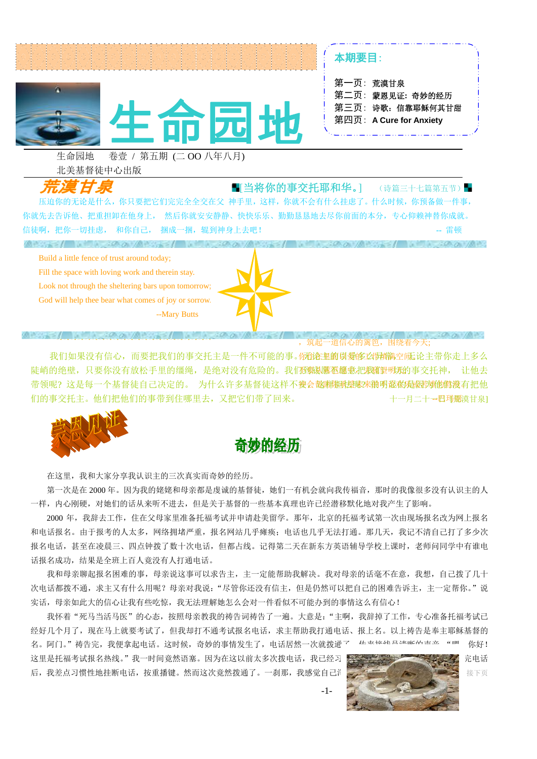

本期要目:

| 第一页:荒漠甘泉                |
|-------------------------|
| 第二页: 蒙恩见证: 奇妙的经历        |
| 第三页: 诗歌: 信靠耶稣何其甘甜       |
| 第四页: A Cure for Anxiety |
|                         |

生命园地 卷壹 / 第五期 (二 OO 八年八月) 北美基督徒中心出版

■[当将你的事交托耶和华。] (诗篇三十七篇第五节)■ 压迫你的无论是什么,你只要把它们完完全全交在父 神手里,这样,你就不会有什么挂虑了。什么时候,你预备做一件事, 你就先去告诉他、把重担卸在他身上, 然后你就安安静静、快快乐乐、勤勤恳恳地去尽你前面的本分,专心仰赖神替你成就。 信徒啊,把你一切挂虑, 和你自己, 捆成一捆,辊到神身上去吧! -- 雷顿  $A \cup A = 1$  , and  $A \cup A = 0$ 

Build a little fence of trust around today; Fill the space with loving work and therein stay. Look not through the sheltering bars upon tomorrow;

God will help thee bear what comes of joy or sorrow. --Mary Butts

**ABSTRATION SPOTATIONAL INC.** 

-道信心的篱笆.

我们如果没有信心,而要把我们的事交托主是一件不可能的事。你<del>的</del>在**重前以爱修***凶***情满**空问证论主带你走上多么 陡峭的绝壁,只要你没有放松手里的缰绳,是绝对没有危险的。我们<mark>稻蛾感稻��意把我额</mark>遇明那的事交托神, 让他去 带领呢?这是每一个基督徒自己决定的。 为什么许多基督徒这样不<del>教</del>会越聯**個般要應來網明證漱d處對她做孩**有把他 十一月二十一巴玛丽漠甘泉] 们的事交托主。他们把他们的事带到住哪里去,又把它们带了回来。



在这里,我和大家分享我认识主的三次真实而奇妙的经历。

 第一次是在 2000 年。因为我的姥姥和母亲都是虔诚的基督徒,她们一有机会就向我传福音,那时的我像很多没有认识主的人 一样,内心刚硬,对她们的话从来听不进去,但是关于基督的一些基本真理也许已经潜移默化地对我产生了影响。

和电话报名。由于报考的人太多,网络拥堵严重,报名网站几乎瘫痪;电话也几乎无法打通。那几天,我记不清自己打了多少次 2000 年,我辞去工作,住在父母家里准备托福考试并申请赴美留学。那年,北京的托福考试第一次由现场报名改为网上报名 报名电话,甚至在凌晨三、四点钟拨了数十次电话,但都占线。记得第二天在新东方英语辅导学校上课时,老师问同学中有谁电 话报名成功,结果是全班上百人竟没有人打通电话。

我和母亲聊起报名困难的事,母亲说这事可以求告主,主一定能帮助我解决。我对母亲的话毫不在意,我想,自己拨了几十 次电话都拨不通,求主又有什么用呢?母亲对我说:"尽管你还没有信主,但是仍然可以把自己的困难告诉主,主一定帮你。"说 实话,母亲如此大的信心让我有些吃惊,我无法理解她怎么会对一件看似不可能办到的事情这么有信心!

我怀着"死马当活马医"的心态,按照母亲教我的祷告词祷告了一遍。大意是:"主啊,我辞掉了工作,专心准备托福考试已 经好几个月了,现在马上就要考试了,但我却打不通考试报名电话,求主帮助我打通电话、报上名。以上祷告是奉主耶稣基督的 名。阿门。"祷告完,我便拿起电话。这时候,奇妙的事情发生了,电话居然一次就拨通了,从来接续是其解码声音:"哩,你好!

这里是托福考试报名热线。"我一时间竟然语塞。因为在这以前太多次拨电话,我已经习惯来去,这类的 后,我差点习惯性地挂断电话,按重播键。然而这次竟然拨通了。一刹那,我感觉自己浑身的汗毛都会不要

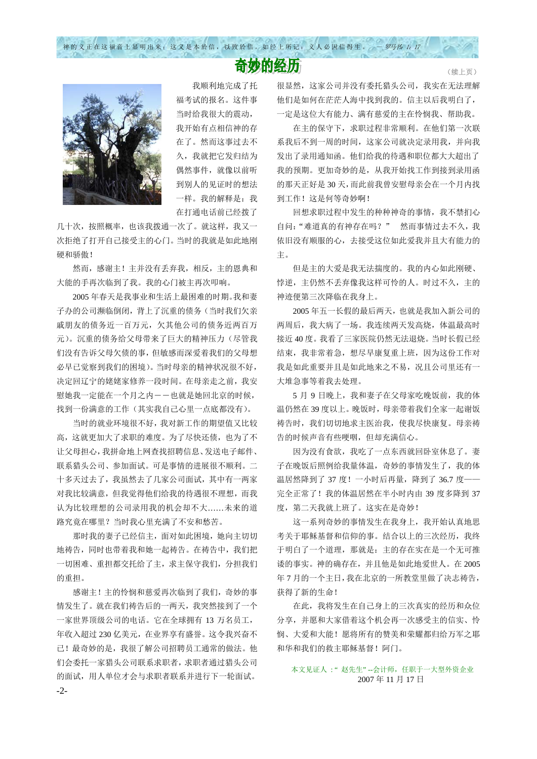神的义正在这福音上显明出来;这义是本於信,以致於信。如经上所记:义人必因信得生。 一 罗马书 1: 17

## 奇妙的经历

 我顺利地完成了托 福考试的报名。这件事 当时给我很大的震动, 我开始有点相信神的存 在了。然而这事过去不 久,我就把它发归结为 偶然事件,就像以前听 到别人的见证时的想法 一样。我的解释是:我 在打通电话前已经拨了

几十次,按照概率,也该我拨通一次了。就这样,我又一 次拒绝了打开自己接受主的心门。当时的我就是如此地刚 硬和骄傲!

 然而,感谢主!主并没有丢弃我,相反,主的恩典和 大能的手再次临到了我。我的心门被主再次叩响。

 2005 年春天是我事业和生活上最困难的时期。我和妻 子办的公司濒临倒闭,背上了沉重的债务(当时我们欠亲 戚朋友的债务近一百万元,欠其他公司的债务近两百万 元)。沉重的债务给父母带来了巨大的精神压力(尽管我 们没有告诉父母欠债的事,但敏感而深爱着我们的父母想 必早已觉察到我们的困境)。当时母亲的精神状况很不好, 决定回辽宁的姥姥家修养一段时间。在母亲走之前,我安 慰她我一定能在一个月之内――也就是她回北京的时候, 找到一份满意的工作(其实我自己心里一点底都没有)。

 当时的就业环境很不好,我对新工作的期望值又比较 高,这就更加大了求职的难度。为了尽快还债,也为了不 让父母担心,我拼命地上网查找招聘信息、发送电子邮件、 联系猎头公司、参加面试。可是事情的进展很不顺利。二 十多天过去了,我虽然去了几家公司面试,其中有一两家 对我比较满意,但我觉得他们给我的待遇很不理想,而我 认为比较理想的公司录用我的机会却不大……未来的道 路究竟在哪里?当时我心里充满了不安和愁苦。

 那时我的妻子已经信主,面对如此困境,她向主切切 地祷告,同时也带着我和她一起祷告。在祷告中,我们把 一切困难、重担都交托给了主,求主保守我们,分担我们 的重担。

感谢主!主的怜悯和慈爱再次临到了我们,奇妙的事 情发生了。就在我们祷告后的一两天,我突然接到了一个 一家世界顶级公司的电话。它在全球拥有 13 万名员工, 年收入超过 230 亿美元,在业界享有盛誉。这令我兴奋不 已!最奇妙的是,我很了解公司招聘员工通常的做法。他 们会委托一家猎头公司联系求职者,求职者通过猎头公司 的面试,用人单位才会与求职者联系并进行下一轮面试。 -2很显然,这家公司并没有委托猎头公司,我实在无法理解 他们是如何在茫茫人海中找到我的。信主以后我明白了, 一定是这位大有能力、满有慈爱的主在怜悯我、帮助我。

在主的保守下,求职过程非常顺利。在他们第一次联 系我后不到一周的时间,这家公司就决定录用我,并向我 发出了录用通知函。他们给我的待遇和职位都大大超出了 我的预期。更加奇妙的是,从我开始找工作到接到录用函 的那天正好是 30 天,而此前我曾安慰母亲会在一个月内找 到工作!这是何等奇妙啊!

 回想求职过程中发生的种种神奇的事情,我不禁扪心 自问:"难道真的有神存在吗?" 然而事情过去不久,我 依旧没有顺服的心,去接受这位如此爱我并且大有能力的 主。

 但是主的大爱是我无法揣度的。我的内心如此刚硬、 悖逆,主仍然不丢弃像我这样可怜的人。时过不久,主的 神迹便第三次降临在我身上。

 2005 年五一长假的最后两天,也就是我加入新公司的 两周后,我大病了一场。我连续两天发高烧,体温最高时 接近 40 度。我看了三家医院仍然无法退烧。当时长假已经 结束,我非常着急,想尽早康复重上班,因为这份工作对 我是如此重要并且是如此地来之不易,况且公司里还有一 大堆急事等着我去处理。

5 月 9 日晚上,我和妻子在父母家吃晚饭前,我的体 温仍然在 39 度以上。晚饭时,母亲带着我们全家一起谢饭 祷告时,我们切切地求主医治我,使我尽快康复。母亲祷 告的时候声音有些哽咽,但却充满信心。

 因为没有食欲,我吃了一点东西就回卧室休息了。妻 子在晚饭后照例给我量体温,奇妙的事情发生了,我的体 温居然降到了 37 度!一小时后再量,降到了 36.7 度—— 完全正常了!我的体温居然在半小时内由 39 度多降到 37 度,第二天我就上班了。这实在是奇妙!

 这一系列奇妙的事情发生在我身上,我开始认真地思 考关于耶稣基督和信仰的事。结合以上的三次经历,我终 于明白了一个道理,那就是:主的存在实在是一个无可推 诿的事实。神的确存在,并且他是如此地爱世人。在 2005 年 7 月的一个主日,我在北京的一所教堂里做了决志祷告, 获得了新的生命!

 在此,我将发生在自己身上的三次真实的经历和众位 分享,并愿和大家借着这个机会再一次感受主的信实、怜 悯、大爱和大能!愿将所有的赞美和荣耀都归给万军之耶 和华和我们的救主耶稣基督!阿门。

 本文见证人 : " 赵先生" --会计师,任职于一大型外资企业 2007 年 11 月 17 日

(续上页)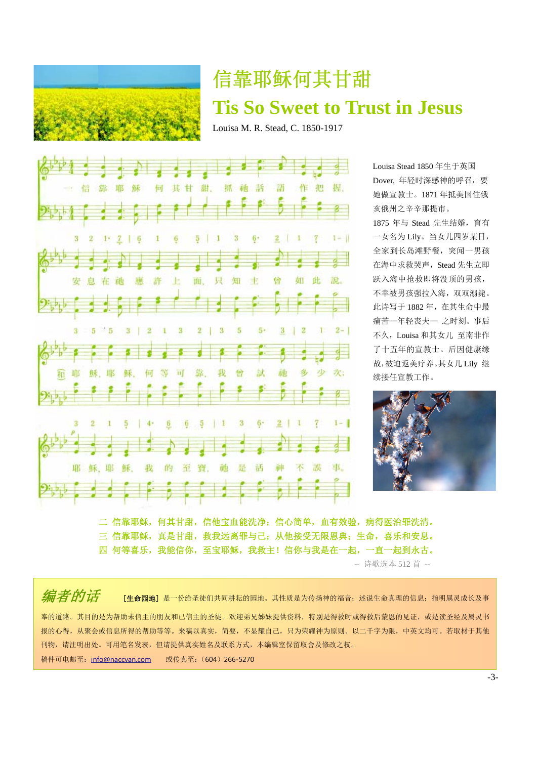

## 信靠耶稣何其甘甜 **Tis So Sweet to Trust in Jesus**

Louisa M. R. Stead, C. 1850-1917



Louisa Stead 1850 年生于英国 Dover, 年轻时深感神的呼召,要 她做宣教士。1871 年抵美国住俄 亥俄州之辛辛那提市。

1875 年与 Stead 先生结婚,育有 一女名为 Lily。当女儿四岁某日, 全家到长岛滩野餐,突闻一男孩 在海中求救哭声,Stead 先生立即 跃入海中抢救即将没顶的男孩, 不幸被男孩强拉入海,双双溺毙。 此诗写于 1882 年,在其生命中最 痛苦—年轻丧夫— 之时刻。事后 不久,Louisa 和其女儿 至南非作 了十五年的宣教士。后因健康缘 故,被迫返美疗养。其女儿 Lily 继 续接任宣教工作。



二 信靠耶稣,何其甘甜,信他宝血能洗净;信心简单,血有效验,病得医治罪洗清。 三 信靠耶稣,真是甘甜,救我远离罪与己;从他接受无限恩典;生命,喜乐和安息。 四 何等喜乐,我能信你,至宝耶稣,我救主!信你与我是在一起,一直一起到永古。 -- 诗歌选本 512 首 --

*[编]者 的话* [生命园地] 是一份给圣徒们共同耕耘的园地。其性质是为传扬神的福音;述说生命真理的信息;指明属灵成长及事 奉的道路。其目的是为帮助未信主的朋友和已信主的圣徒。欢迎弟兄姊妹提供资料,特别是得救时或得救后蒙恩的见证,或是读圣经及属灵书 报的心得,从聚会或信息所得的帮助等等。来稿以真实,简要,不显耀自己,只为荣耀神为原则。以二千字为限,中英文均可。若取材于其他 刊物,请注明出处。可用笔名发表,但请提供真实姓名及联系方式,本编辑室保留取舍及修改之权。 稿件可电邮至:info@naccvan.com 或传真至:(604)266-5270